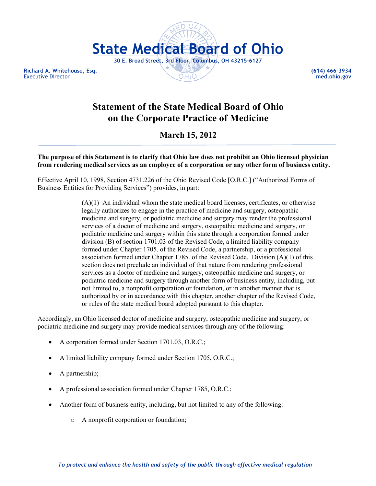

**Executive Director** 

## **Statement of the State Medical Board of Ohio on the Corporate Practice of Medicine**

## **March 15, 2012**

**The purpose of this Statement is to clarify that Ohio law does not prohibit an Ohio licensed physician from rendering medical services as an employee of a corporation or any other form of business entity.** 

Effective April 10, 1998, Section 4731.226 of the Ohio Revised Code [O.R.C.] ("Authorized Forms of Business Entities for Providing Services") provides, in part:

> (A)(1) An individual whom the state medical board licenses, certificates, or otherwise legally authorizes to engage in the practice of medicine and surgery, osteopathic medicine and surgery, or podiatric medicine and surgery may render the professional services of a doctor of medicine and surgery, osteopathic medicine and surgery, or podiatric medicine and surgery within this state through a corporation formed under division (B) of section 1701.03 of the Revised Code, a limited liability company formed under Chapter 1705. of the Revised Code, a partnership, or a professional association formed under Chapter 1785. of the Revised Code. Division (A)(1) of this section does not preclude an individual of that nature from rendering professional services as a doctor of medicine and surgery, osteopathic medicine and surgery, or podiatric medicine and surgery through another form of business entity, including, but not limited to, a nonprofit corporation or foundation, or in another manner that is authorized by or in accordance with this chapter, another chapter of the Revised Code, or rules of the state medical board adopted pursuant to this chapter.

Accordingly, an Ohio licensed doctor of medicine and surgery, osteopathic medicine and surgery, or podiatric medicine and surgery may provide medical services through any of the following:

- A corporation formed under Section 1701.03, O.R.C.;
- A limited liability company formed under Section 1705, O.R.C.;
- A partnership;
- A professional association formed under Chapter 1785, O.R.C.;
- Another form of business entity, including, but not limited to any of the following:
	- o A nonprofit corporation or foundation;